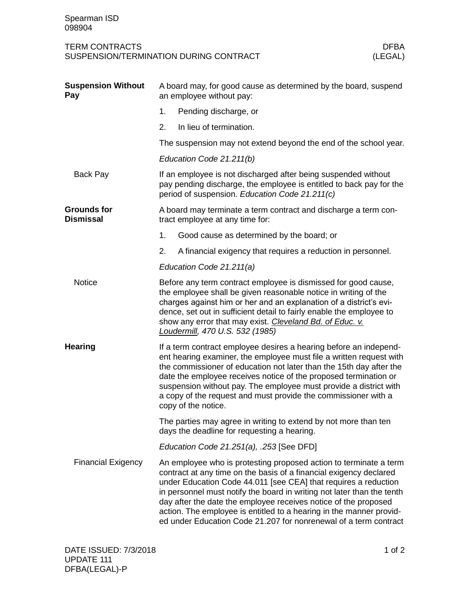| Spearman ISD<br>098904                 |                                                                                                                                                                                                                                                                                                                                                                                                                                                                                                    |  |
|----------------------------------------|----------------------------------------------------------------------------------------------------------------------------------------------------------------------------------------------------------------------------------------------------------------------------------------------------------------------------------------------------------------------------------------------------------------------------------------------------------------------------------------------------|--|
| <b>TERM CONTRACTS</b>                  | <b>DFBA</b><br>SUSPENSION/TERMINATION DURING CONTRACT<br>(LEGAL)                                                                                                                                                                                                                                                                                                                                                                                                                                   |  |
| <b>Suspension Without</b><br>Pay       | A board may, for good cause as determined by the board, suspend<br>an employee without pay:                                                                                                                                                                                                                                                                                                                                                                                                        |  |
|                                        | 1.<br>Pending discharge, or                                                                                                                                                                                                                                                                                                                                                                                                                                                                        |  |
|                                        | 2.<br>In lieu of termination.                                                                                                                                                                                                                                                                                                                                                                                                                                                                      |  |
|                                        | The suspension may not extend beyond the end of the school year.                                                                                                                                                                                                                                                                                                                                                                                                                                   |  |
|                                        | Education Code 21.211(b)                                                                                                                                                                                                                                                                                                                                                                                                                                                                           |  |
| <b>Back Pay</b>                        | If an employee is not discharged after being suspended without<br>pay pending discharge, the employee is entitled to back pay for the<br>period of suspension. Education Code 21.211(c)                                                                                                                                                                                                                                                                                                            |  |
| <b>Grounds for</b><br><b>Dismissal</b> | A board may terminate a term contract and discharge a term con-<br>tract employee at any time for:                                                                                                                                                                                                                                                                                                                                                                                                 |  |
|                                        | 1.<br>Good cause as determined by the board; or                                                                                                                                                                                                                                                                                                                                                                                                                                                    |  |
|                                        | 2.<br>A financial exigency that requires a reduction in personnel.                                                                                                                                                                                                                                                                                                                                                                                                                                 |  |
|                                        | Education Code 21.211(a)                                                                                                                                                                                                                                                                                                                                                                                                                                                                           |  |
| <b>Notice</b>                          | Before any term contract employee is dismissed for good cause,<br>the employee shall be given reasonable notice in writing of the<br>charges against him or her and an explanation of a district's evi-<br>dence, set out in sufficient detail to fairly enable the employee to<br>show any error that may exist. Cleveland Bd. of Educ. v.<br>Loudermill, 470 U.S. 532 (1985)                                                                                                                     |  |
| <b>Hearing</b>                         | If a term contract employee desires a hearing before an independ-<br>ent hearing examiner, the employee must file a written request with<br>the commissioner of education not later than the 15th day after the<br>date the employee receives notice of the proposed termination or<br>suspension without pay. The employee must provide a district with<br>a copy of the request and must provide the commissioner with a<br>copy of the notice.                                                  |  |
|                                        | The parties may agree in writing to extend by not more than ten<br>days the deadline for requesting a hearing.                                                                                                                                                                                                                                                                                                                                                                                     |  |
|                                        | Education Code 21.251(a), .253 [See DFD]                                                                                                                                                                                                                                                                                                                                                                                                                                                           |  |
| <b>Financial Exigency</b>              | An employee who is protesting proposed action to terminate a term<br>contract at any time on the basis of a financial exigency declared<br>under Education Code 44.011 [see CEA] that requires a reduction<br>in personnel must notify the board in writing not later than the tenth<br>day after the date the employee receives notice of the proposed<br>action. The employee is entitled to a hearing in the manner provid-<br>ed under Education Code 21.207 for nonrenewal of a term contract |  |